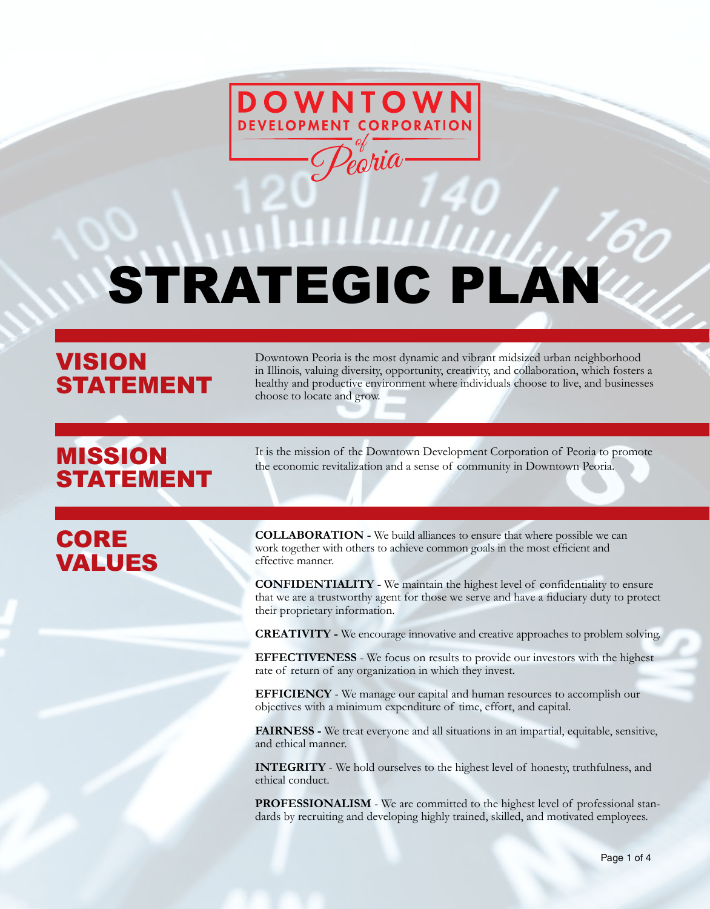

# STRATEGIC PLAN

## VISION STATEMENT

Downtown Peoria is the most dynamic and vibrant midsized urban neighborhood in Illinois, valuing diversity, opportunity, creativity, and collaboration, which fosters a healthy and productive environment where individuals choose to live, and businesses choose to locate and grow.

# STATEMENT

**MISSION** It is the mission of the Downtown Development Corporation of Peoria to promote the economic revitalization and a sense of community in Downtown Peoria.

## CORE VALUES

**COLLABORATION -** We build alliances to ensure that where possible we can work together with others to achieve common goals in the most efficient and effective manner.

**CONFIDENTIALITY -** We maintain the highest level of confidentiality to ensure that we are a trustworthy agent for those we serve and have a fiduciary duty to protect their proprietary information.

**CREATIVITY -** We encourage innovative and creative approaches to problem solving.

**EFFECTIVENESS** - We focus on results to provide our investors with the highest rate of return of any organization in which they invest.

**EFFICIENCY** - We manage our capital and human resources to accomplish our objectives with a minimum expenditure of time, effort, and capital.

**FAIRNESS -** We treat everyone and all situations in an impartial, equitable, sensitive, and ethical manner.

**INTEGRITY** - We hold ourselves to the highest level of honesty, truthfulness, and ethical conduct.

**PROFESSIONALISM** - We are committed to the highest level of professional standards by recruiting and developing highly trained, skilled, and motivated employees.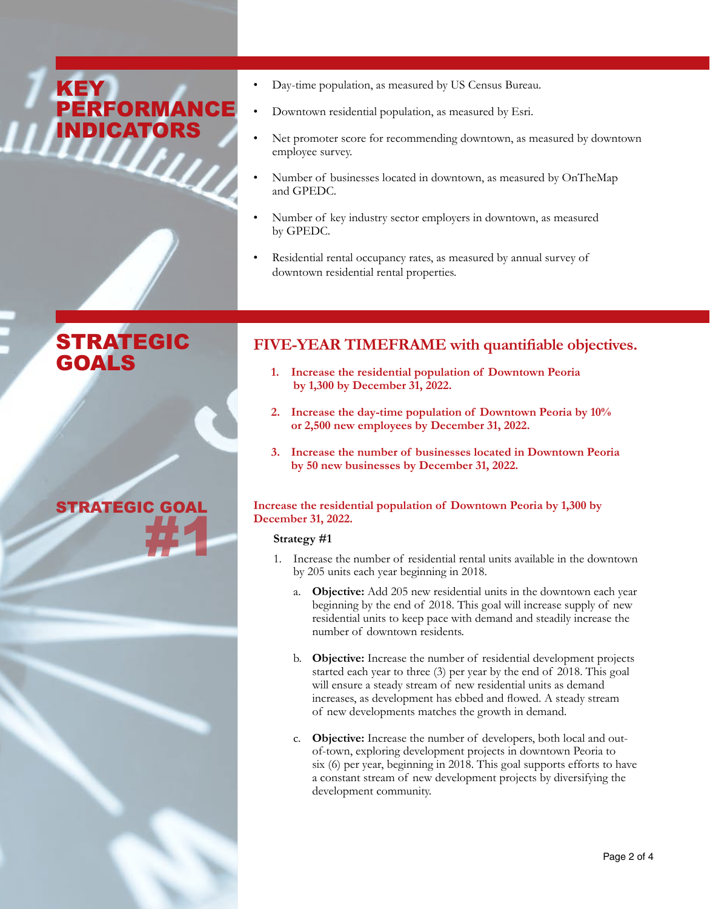## **KEY** PERFORMANCI **INDICATORS**

- Day-time population, as measured by US Census Bureau.
- Downtown residential population, as measured by Esri.
- Net promoter score for recommending downtown, as measured by downtown employee survey.
- Number of businesses located in downtown, as measured by OnTheMap and GPEDC.
- Number of key industry sector employers in downtown, as measured by GPEDC.
- Residential rental occupancy rates, as measured by annual survey of downtown residential rental properties.

## STRATEGIC GOALS



## **FIVE-YEAR TIMEFRAME with quantifiable objectives.**

- **1. Increase the residential population of Downtown Peoria by 1,300 by December 31, 2022.**
- **2. Increase the day-time population of Downtown Peoria by 10% or 2,500 new employees by December 31, 2022.**
- **3. Increase the number of businesses located in Downtown Peoria by 50 new businesses by December 31, 2022.**

## **Increase the residential population of Downtown Peoria by 1,300 by December 31, 2022.**

## **Strategy #1**

- 1. Increase the number of residential rental units available in the downtown by 205 units each year beginning in 2018.
	- a. **Objective:** Add 205 new residential units in the downtown each year beginning by the end of 2018. This goal will increase supply of new residential units to keep pace with demand and steadily increase the number of downtown residents.
	- b. **Objective:** Increase the number of residential development projects started each year to three (3) per year by the end of 2018. This goal will ensure a steady stream of new residential units as demand increases, as development has ebbed and flowed. A steady stream of new developments matches the growth in demand.
	- c. **Objective:** Increase the number of developers, both local and out of-town, exploring development projects in downtown Peoria to six (6) per year, beginning in 2018. This goal supports efforts to have a constant stream of new development projects by diversifying the development community.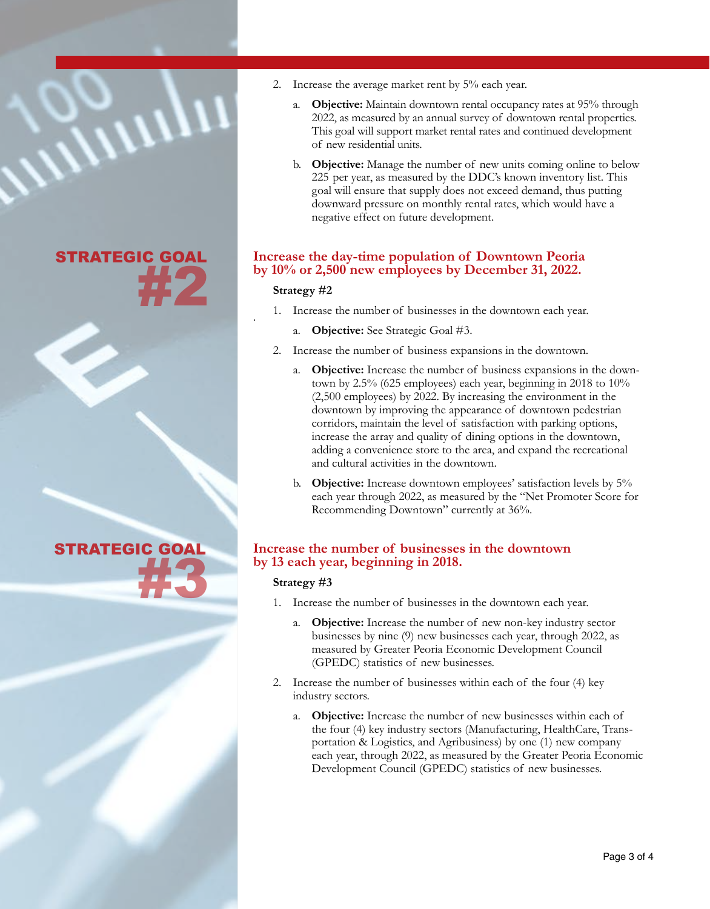## STRATEGIC GOAL #2

STRATEGIC GOAL #3

- 2. Increase the average market rent by 5% each year.
	- a. **Objective:** Maintain downtown rental occupancy rates at 95% through 2022, as measured by an annual survey of downtown rental properties. This goal will support market rental rates and continued development of new residential units.
	- b. **Objective:** Manage the number of new units coming online to below 225 per year, as measured by the DDC's known inventory list. This goal will ensure that supply does not exceed demand, thus putting downward pressure on monthly rental rates, which would have a negative effect on future development.

## **Increase the day-time population of Downtown Peoria by 10% or 2,500 new employees by December 31, 2022.**

## **Strategy #2**

- 1. Increase the number of businesses in the downtown each year. .
	- a. **Objective:** See Strategic Goal #3.
- 2. Increase the number of business expansions in the downtown.
	- a. **Objective:** Increase the number of business expansions in the downtown by 2.5% (625 employees) each year, beginning in 2018 to 10% (2,500 employees) by 2022. By increasing the environment in the downtown by improving the appearance of downtown pedestrian corridors, maintain the level of satisfaction with parking options, increase the array and quality of dining options in the downtown, adding a convenience store to the area, and expand the recreational and cultural activities in the downtown.
	- b. **Objective:** Increase downtown employees' satisfaction levels by 5% each year through 2022, as measured by the "Net Promoter Score for Recommending Downtown" currently at 36%.

## **Increase the number of businesses in the downtown by 13 each year, beginning in 2018.**

## **Strategy #3**

- 1. Increase the number of businesses in the downtown each year.
	- a. **Objective:** Increase the number of new non-key industry sector businesses by nine (9) new businesses each year, through 2022, as measured by Greater Peoria Economic Development Council (GPEDC) statistics of new businesses.
- 2. Increase the number of businesses within each of the four (4) key industry sectors.
	- a. **Objective:** Increase the number of new businesses within each of the four (4) key industry sectors (Manufacturing, HealthCare, Transportation & Logistics, and Agribusiness) by one (1) new company each year, through 2022, as measured by the Greater Peoria Economic Development Council (GPEDC) statistics of new businesses.